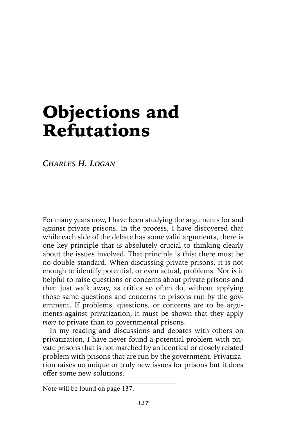# Objections and Refutations

*CHARLES H. LOGAN*

For many years now, I have been studying the arguments for and against private prisons. In the process, I have discovered that while each side of the debate has some valid arguments, there is one key principle that is absolutely crucial to thinking clearly about the issues involved. That principle is this: there must be no double standard. When discussing private prisons, it is not enough to identify potential, or even actual, problems. Nor is it helpful to raise questions or concerns about private prisons and then just walk away, as critics so often do, without applying those same questions and concerns to prisons run by the government. If problems, questions, or concerns are to be arguments against privatization, it must be shown that they apply *more* to private than to governmental prisons.

In my reading and discussions and debates with others on privatization, I have never found a potential problem with private prisons that is not matched by an identical or closely related problem with prisons that are run by the government. Privatization raises no unique or truly new issues for prisons but it does offer some new solutions.

Note will be found on page 137.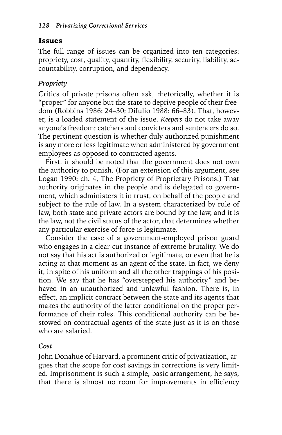#### Issues

The full range of issues can be organized into ten categories: propriety, cost, quality, quantity, flexibility, security, liability, accountability, corruption, and dependency.

#### *Propriety*

Critics of private prisons often ask, rhetorically, whether it is "proper" for anyone but the state to deprive people of their freedom (Robbins 1986: 24–30; DiIulio 1988: 66–83). That, however, is a loaded statement of the issue. *Keepers* do not take away anyone's freedom; catchers and convicters and sentencers do so. The pertinent question is whether duly authorized punishment is any more or less legitimate when administered by government employees as opposed to contracted agents.

First, it should be noted that the government does not own the authority to punish. (For an extension of this argument, see Logan 1990: ch. 4, The Propriety of Proprietary Prisons.) That authority originates in the people and is delegated to government, which administers it in trust, on behalf of the people and subject to the rule of law. In a system characterized by rule of law, both state and private actors are bound by the law, and it is the law, not the civil status of the actor, that determines whether any particular exercise of force is legitimate.

Consider the case of a government-employed prison guard who engages in a clear-cut instance of extreme brutality. We do not say that his act is authorized or legitimate, or even that he is acting at that moment as an agent of the state. In fact, we deny it, in spite of his uniform and all the other trappings of his position. We say that he has "overstepped his authority" and behaved in an unauthorized and unlawful fashion. There is, in effect, an implicit contract between the state and its agents that makes the authority of the latter conditional on the proper performance of their roles. This conditional authority can be bestowed on contractual agents of the state just as it is on those who are salaried.

#### *Cost*

John Donahue of Harvard, a prominent critic of privatization, argues that the scope for cost savings in corrections is very limited. Imprisonment is such a simple, basic arrangement, he says, that there is almost no room for improvements in efficiency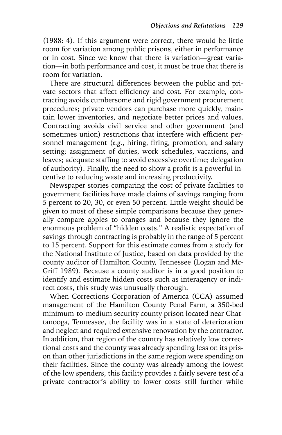(1988: 4). If this argument were correct, there would be little room for variation among public prisons, either in performance or in cost. Since we know that there is variation—great variation—in both performance and cost, it must be true that there is room for variation.

There are structural differences between the public and private sectors that affect efficiency and cost. For example, contracting avoids cumbersome and rigid government procurement procedures; private vendors can purchase more quickly, maintain lower inventories, and negotiate better prices and values. Contracting avoids civil service and other government (and sometimes union) restrictions that interfere with efficient personnel management (*e.g.*, hiring, firing, promotion, and salary setting; assignment of duties, work schedules, vacations, and leaves; adequate staffing to avoid excessive overtime; delegation of authority). Finally, the need to show a profit is a powerful incentive to reducing waste and increasing productivity.

Newspaper stories comparing the cost of private facilities to government facilities have made claims of savings ranging from 5 percent to 20, 30, or even 50 percent. Little weight should be given to most of these simple comparisons because they generally compare apples to oranges and because they ignore the enormous problem of "hidden costs." A realistic expectation of savings through contracting is probably in the range of 5 percent to 15 percent. Support for this estimate comes from a study for the National Institute of Justice, based on data provided by the county auditor of Hamilton County, Tennessee (Logan and Mc-Griff 1989). Because a county auditor is in a good position to identify and estimate hidden costs such as interagency or indirect costs, this study was unusually thorough.

When Corrections Corporation of America (CCA) assumed management of the Hamilton County Penal Farm, a 350-bed minimum-to-medium security county prison located near Chattanooga, Tennessee, the facility was in a state of deterioration and neglect and required extensive renovation by the contractor. In addition, that region of the country has relatively low correctional costs and the county was already spending less on its prison than other jurisdictions in the same region were spending on their facilities. Since the county was already among the lowest of the low spenders, this facility provides a fairly severe test of a private contractor's ability to lower costs still further while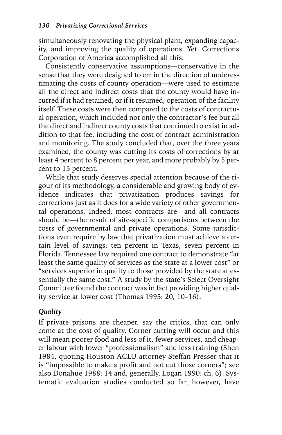simultaneously renovating the physical plant, expanding capacity, and improving the quality of operations. Yet, Corrections Corporation of America accomplished all this.

Consistently conservative assumptions—conservative in the sense that they were designed to err in the direction of underestimating the costs of county operation—were used to estimate all the direct and indirect costs that the county would have incurred if it had retained, or if it resumed, operation of the facility itself. These costs were then compared to the costs of contractual operation, which included not only the contractor's fee but all the direct and indirect county costs that continued to exist in addition to that fee, including the cost of contract administration and monitoring. The study concluded that, over the three years examined, the county was cutting its costs of corrections by at least 4 percent to 8 percent per year, and more probably by 5 percent to 15 percent.

While that study deserves special attention because of the rigour of its methodology, a considerable and growing body of evidence indicates that privatization produces savings for corrections just as it does for a wide variety of other governmental operations. Indeed, most contracts are—and all contracts should be—the result of site-specific comparisons between the costs of governmental and private operations. Some jurisdictions even require by law that privatization must achieve a certain level of savings: ten percent in Texas, seven percent in Florida. Tennessee law required one contract to demonstrate "at least the same quality of services as the state at a lower cost" or "services superior in quality to those provided by the state at essentially the same cost." A study by the state's Select Oversight Committee found the contract was in fact providing higher quality service at lower cost (Thomas 1995: 20, 10–16).

#### *Quality*

If private prisons are cheaper, say the critics, that can only come at the cost of quality. Corner cutting will occur and this will mean poorer food and less of it, fewer services, and cheaper labour with lower "professionalism" and less training (Shen 1984, quoting Houston ACLU attorney Steffan Presser that it is "impossible to make a profit and not cut those corners"; see also Donahue 1988: 14 and, generally, Logan 1990: ch. 6). Systematic evaluation studies conducted so far, however, have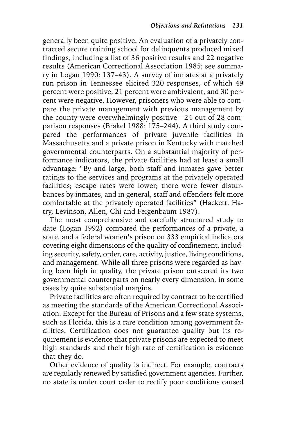generally been quite positive. An evaluation of a privately contracted secure training school for delinquents produced mixed findings, including a list of 36 positive results and 22 negative results (American Correctional Association 1985; see summary in Logan 1990: 137–43). A survey of inmates at a privately run prison in Tennessee elicited 320 responses, of which 49 percent were positive, 21 percent were ambivalent, and 30 percent were negative. However, prisoners who were able to compare the private management with previous management by the county were overwhelmingly positive—24 out of 28 comparison responses (Brakel 1988: 175–244). A third study compared the performances of private juvenile facilities in Massachusetts and a private prison in Kentucky with matched governmental counterparts. On a substantial majority of performance indicators, the private facilities had at least a small advantage: "By and large, both staff and inmates gave better ratings to the services and programs at the privately operated facilities; escape rates were lower; there were fewer disturbances by inmates; and in general, staff and offenders felt more comfortable at the privately operated facilities" (Hackett, Hatry, Levinson, Allen, Chi and Feigenbaum 1987).

The most comprehensive and carefully structured study to date (Logan 1992) compared the performances of a private, a state, and a federal women's prison on 333 empirical indicators covering eight dimensions of the quality of confinement, including security, safety, order, care, activity, justice, living conditions, and management. While all three prisons were regarded as having been high in quality, the private prison outscored its two governmental counterparts on nearly every dimension, in some cases by quite substantial margins.

Private facilities are often required by contract to be certified as meeting the standards of the American Correctional Association. Except for the Bureau of Prisons and a few state systems, such as Florida, this is a rare condition among government facilities. Certification does not guarantee quality but its requirement is evidence that private prisons are expected to meet high standards and their high rate of certification is evidence that they do.

Other evidence of quality is indirect. For example, contracts are regularly renewed by satisfied government agencies. Further, no state is under court order to rectify poor conditions caused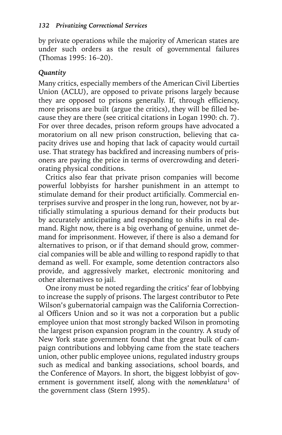by private operations while the majority of American states are under such orders as the result of governmental failures (Thomas 1995: 16–20).

#### *Quantity*

Many critics, especially members of the American Civil Liberties Union (ACLU), are opposed to private prisons largely because they are opposed to prisons generally. If, through efficiency, more prisons are built (argue the critics), they will be filled because they are there (see critical citations in Logan 1990: ch. 7). For over three decades, prison reform groups have advocated a moratorium on all new prison construction, believing that capacity drives use and hoping that lack of capacity would curtail use. That strategy has backfired and increasing numbers of prisoners are paying the price in terms of overcrowding and deteriorating physical conditions.

Critics also fear that private prison companies will become powerful lobbyists for harsher punishment in an attempt to stimulate demand for their product artificially. Commercial enterprises survive and prosper in the long run, however, not by artificially stimulating a spurious demand for their products but by accurately anticipating and responding to shifts in real demand. Right now, there is a big overhang of genuine, unmet demand for imprisonment. However, if there is also a demand for alternatives to prison, or if that demand should grow, commercial companies will be able and willing to respond rapidly to that demand as well. For example, some detention contractors also provide, and aggressively market, electronic monitoring and other alternatives to jail.

One irony must be noted regarding the critics' fear of lobbying to increase the supply of prisons. The largest contributor to Pete Wilson's gubernatorial campaign was the California Correctional Officers Union and so it was not a corporation but a public employee union that most strongly backed Wilson in promoting the largest prison expansion program in the country. A study of New York state government found that the great bulk of campaign contributions and lobbying came from the state teachers union, other public employee unions, regulated industry groups such as medical and banking associations, school boards, and the Conference of Mayors. In short, the biggest lobbyist of government is government itself, along with the *nomenklatura*1 of the government class (Stern 1995).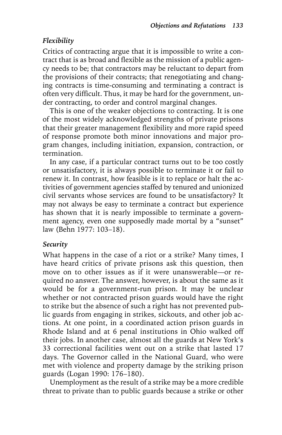#### *Flexibility*

Critics of contracting argue that it is impossible to write a contract that is as broad and flexible as the mission of a public agency needs to be; that contractors may be reluctant to depart from the provisions of their contracts; that renegotiating and changing contracts is time-consuming and terminating a contract is often very difficult. Thus, it may be hard for the government, under contracting, to order and control marginal changes.

This is one of the weaker objections to contracting. It is one of the most widely acknowledged strengths of private prisons that their greater management flexibility and more rapid speed of response promote both minor innovations and major program changes, including initiation, expansion, contraction, or termination.

In any case, if a particular contract turns out to be too costly or unsatisfactory, it is always possible to terminate it or fail to renew it. In contrast, how feasible is it to replace or halt the activities of government agencies staffed by tenured and unionized civil servants whose services are found to be unsatisfactory? It may not always be easy to terminate a contract but experience has shown that it is nearly impossible to terminate a government agency, even one supposedly made mortal by a "sunset" law (Behn 1977: 103–18).

#### *Security*

What happens in the case of a riot or a strike? Many times, I have heard critics of private prisons ask this question, then move on to other issues as if it were unanswerable—or required no answer. The answer, however, is about the same as it would be for a government-run prison. It may be unclear whether or not contracted prison guards would have the right to strike but the absence of such a right has not prevented public guards from engaging in strikes, sickouts, and other job actions. At one point, in a coordinated action prison guards in Rhode Island and at 6 penal institutions in Ohio walked off their jobs. In another case, almost all the guards at New York's 33 correctional facilities went out on a strike that lasted 17 days. The Governor called in the National Guard, who were met with violence and property damage by the striking prison guards (Logan 1990: 176–180).

Unemployment as the result of a strike may be a more credible threat to private than to public guards because a strike or other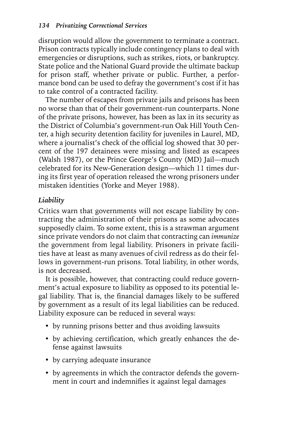disruption would allow the government to terminate a contract. Prison contracts typically include contingency plans to deal with emergencies or disruptions, such as strikes, riots, or bankruptcy. State police and the National Guard provide the ultimate backup for prison staff, whether private or public. Further, a performance bond can be used to defray the government's cost if it has to take control of a contracted facility.

The number of escapes from private jails and prisons has been no worse than that of their government-run counterparts. None of the private prisons, however, has been as lax in its security as the District of Columbia's government-run Oak Hill Youth Center, a high security detention facility for juveniles in Laurel, MD, where a journalist's check of the official log showed that 30 percent of the 197 detainees were missing and listed as escapees (Walsh 1987), or the Prince George's County (MD) Jail—much celebrated for its New-Generation design—which 11 times during its first year of operation released the wrong prisoners under mistaken identities (Yorke and Meyer 1988).

#### *Liability*

Critics warn that governments will not escape liability by contracting the administration of their prisons as some advocates supposedly claim. To some extent, this is a strawman argument since private vendors do not claim that contracting can *immunize* the government from legal liability. Prisoners in private facilities have at least as many avenues of civil redress as do their fellows in government-run prisons. Total liability, in other words, is not decreased.

It is possible, however, that contracting could reduce government's actual exposure to liability as opposed to its potential legal liability. That is, the financial damages likely to be suffered by government as a result of its legal liabilities can be reduced. Liability exposure can be reduced in several ways:

- by running prisons better and thus avoiding lawsuits
- by achieving certification, which greatly enhances the defense against lawsuits
- by carrying adequate insurance
- by agreements in which the contractor defends the government in court and indemnifies it against legal damages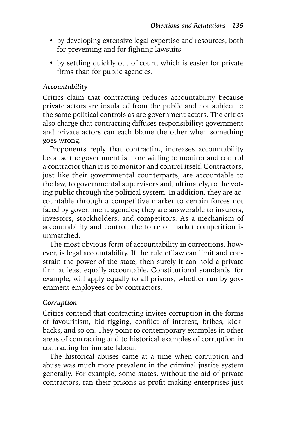- by developing extensive legal expertise and resources, both for preventing and for fighting lawsuits
- by settling quickly out of court, which is easier for private firms than for public agencies.

#### *Accountability*

Critics claim that contracting reduces accountability because private actors are insulated from the public and not subject to the same political controls as are government actors. The critics also charge that contracting diffuses responsibility: government and private actors can each blame the other when something goes wrong.

Proponents reply that contracting increases accountability because the government is more willing to monitor and control a contractor than it is to monitor and control itself. Contractors, just like their governmental counterparts, are accountable to the law, to governmental supervisors and, ultimately, to the voting public through the political system. In addition, they are accountable through a competitive market to certain forces not faced by government agencies; they are answerable to insurers, investors, stockholders, and competitors. As a mechanism of accountability and control, the force of market competition is unmatched.

The most obvious form of accountability in corrections, however, is legal accountability. If the rule of law can limit and constrain the power of the state, then surely it can hold a private firm at least equally accountable. Constitutional standards, for example, will apply equally to all prisons, whether run by government employees or by contractors.

#### *Corruption*

Critics contend that contracting invites corruption in the forms of favouritism, bid-rigging, conflict of interest, bribes, kickbacks, and so on. They point to contemporary examples in other areas of contracting and to historical examples of corruption in contracting for inmate labour.

The historical abuses came at a time when corruption and abuse was much more prevalent in the criminal justice system generally. For example, some states, without the aid of private contractors, ran their prisons as profit-making enterprises just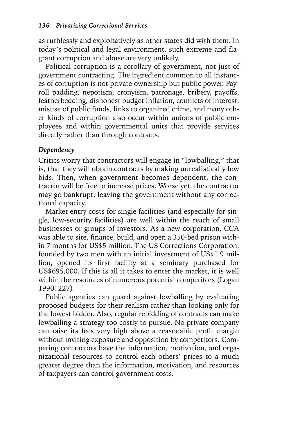as ruthlessly and exploitatively as other states did with them. In today's political and legal environment, such extreme and flagrant corruption and abuse are very unlikely.

Political corruption is a corollary of government, not just of government contracting. The ingredient common to all instances of corruption is not private ownership but public power. Payroll padding, nepotism, cronyism, patronage, bribery, payoffs, featherbedding, dishonest budget inflation, conflicts of interest, misuse of public funds, links to organized crime, and many other kinds of corruption also occur within unions of public employees and within governmental units that provide services directly rather than through contracts.

#### *Dependency*

Critics worry that contractors will engage in "lowballing," that is, that they will obtain contracts by making unrealistically low bids. Then, when government becomes dependent, the contractor will be free to increase prices. Worse yet, the contractor may go bankrupt, leaving the government without any correctional capacity.

Market entry costs for single facilities (and especially for single, low-security facilities) are well within the reach of small businesses or groups of investors. As a new corporation, CCA was able to site, finance, build, and open a 350-bed prison within 7 months for US\$5 million. The US Corrections Corporation, founded by two men with an initial investment of US\$1.9 million, opened its first facility at a seminary purchased for US\$695,000. If this is all it takes to enter the market, it is well within the resources of numerous potential competitors (Logan 1990: 227).

Public agencies can guard against lowballing by evaluating proposed budgets for their realism rather than looking only for the lowest bidder. Also, regular rebidding of contracts can make lowballing a strategy too costly to pursue. No private company can raise its fees very high above a reasonable profit margin without inviting exposure and opposition by competitors. Competing contractors have the information, motivation, and organizational resources to control each others' prices to a much greater degree than the information, motivation, and resources of taxpayers can control government costs.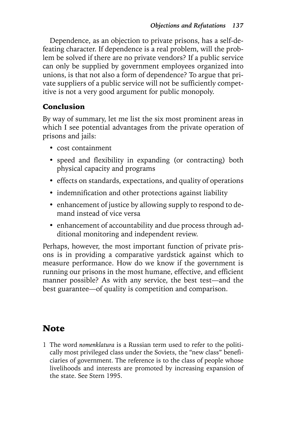Dependence, as an objection to private prisons, has a self-defeating character. If dependence is a real problem, will the problem be solved if there are no private vendors? If a public service can only be supplied by government employees organized into unions, is that not also a form of dependence? To argue that private suppliers of a public service will not be sufficiently competitive is not a very good argument for public monopoly.

#### Conclusion

By way of summary, let me list the six most prominent areas in which I see potential advantages from the private operation of prisons and jails:

- cost containment
- speed and flexibility in expanding (or contracting) both physical capacity and programs
- effects on standards, expectations, and quality of operations
- indemnification and other protections against liability
- enhancement of justice by allowing supply to respond to demand instead of vice versa
- enhancement of accountability and due process through additional monitoring and independent review.

Perhaps, however, the most important function of private prisons is in providing a comparative yardstick against which to measure performance. How do we know if the government is running our prisons in the most humane, effective, and efficient manner possible? As with any service, the best test—and the best guarantee—of quality is competition and comparison.

## **Note**

1 The word *nomenklatura* is a Russian term used to refer to the politically most privileged class under the Soviets, the "new class" beneficiaries of government. The reference is to the class of people whose livelihoods and interests are promoted by increasing expansion of the state. See Stern 1995.